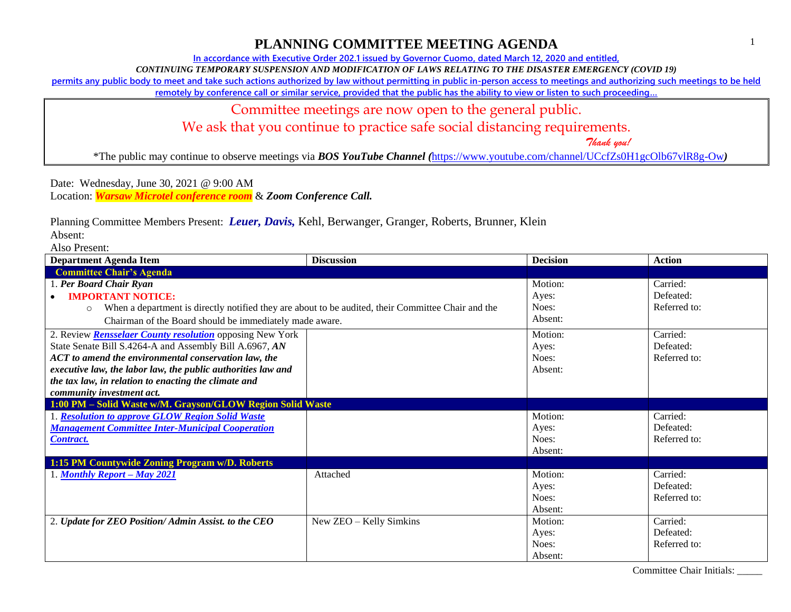**In accordance with Executive Order 202.1 issued by Governor Cuomo, dated March 12, 2020 and entitled,**

*CONTINUING TEMPORARY SUSPENSION AND MODIFICATION OF LAWS RELATING TO THE DISASTER EMERGENCY (COVID 19)*

**permits any public body to meet and take such actions authorized by law without permitting in public in-person access to meetings and authorizing such meetings to be held** 

**remotely by conference call or similar service, provided that the public has the ability to view or listen to such proceeding…**

Committee meetings are now open to the general public.

We ask that you continue to practice safe social distancing requirements.

 *Thank you!*

\*The public may continue to observe meetings via *BOS YouTube Channel (*<https://www.youtube.com/channel/UCcfZs0H1gcOlb67vlR8g-Ow>*)*

Date: Wednesday, June 30, 2021 @ 9:00 AM Location: *Warsaw Microtel conference room* & *Zoom Conference Call.*

Planning Committee Members Present: *Leuer, Davis,* Kehl, Berwanger, Granger, Roberts, Brunner, Klein

Absent:

Also Present:

| <b>Department Agenda Item</b>                                                                                 | <b>Discussion</b>       | <b>Decision</b> | <b>Action</b> |
|---------------------------------------------------------------------------------------------------------------|-------------------------|-----------------|---------------|
| <b>Committee Chair's Agenda</b>                                                                               |                         |                 |               |
| 1. Per Board Chair Ryan                                                                                       |                         | Motion:         | Carried:      |
| <b>IMPORTANT NOTICE:</b>                                                                                      |                         | Ayes:           | Defeated:     |
| When a department is directly notified they are about to be audited, their Committee Chair and the<br>$\circ$ |                         | Noes:           | Referred to:  |
| Chairman of the Board should be immediately made aware.                                                       |                         | Absent:         |               |
| 2. Review <b>Rensselaer County resolution</b> opposing New York                                               |                         | Motion:         | Carried:      |
| State Senate Bill S.4264-A and Assembly Bill A.6967, AN                                                       |                         | Ayes:           | Defeated:     |
| ACT to amend the environmental conservation law, the                                                          |                         | Noes:           | Referred to:  |
| executive law, the labor law, the public authorities law and                                                  |                         | Absent:         |               |
| the tax law, in relation to enacting the climate and                                                          |                         |                 |               |
| community investment act.                                                                                     |                         |                 |               |
| 1:00 PM - Solid Waste w/M. Grayson/GLOW Region Solid Waste                                                    |                         |                 |               |
| 1. Resolution to approve GLOW Region Solid Waste                                                              |                         | Motion:         | Carried:      |
| <b>Management Committee Inter-Municipal Cooperation</b>                                                       |                         | Ayes:           | Defeated:     |
| <b>Contract.</b>                                                                                              |                         | Noes:           | Referred to:  |
|                                                                                                               |                         | Absent:         |               |
| 1:15 PM Countywide Zoning Program w/D. Roberts                                                                |                         |                 |               |
| 1. Monthly Report – May 2021                                                                                  | Attached                | Motion:         | Carried:      |
|                                                                                                               |                         | Ayes:           | Defeated:     |
|                                                                                                               |                         | Noes:           | Referred to:  |
|                                                                                                               |                         | Absent:         |               |
| 2. Update for ZEO Position/ Admin Assist. to the CEO                                                          | New ZEO - Kelly Simkins | Motion:         | Carried:      |
|                                                                                                               |                         | Ayes:           | Defeated:     |
|                                                                                                               |                         | Noes:           | Referred to:  |
|                                                                                                               |                         | Absent:         |               |

Committee Chair Initials: \_\_\_\_\_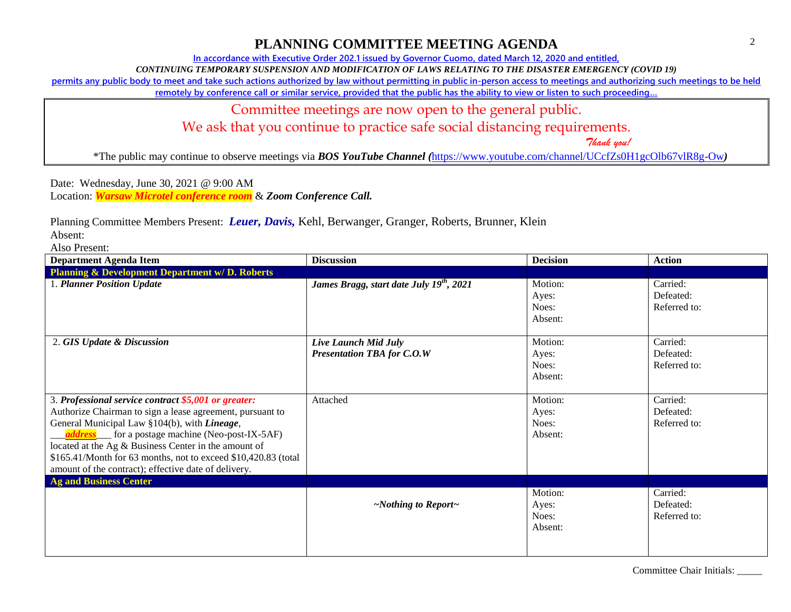**In accordance with Executive Order 202.1 issued by Governor Cuomo, dated March 12, 2020 and entitled,**

*CONTINUING TEMPORARY SUSPENSION AND MODIFICATION OF LAWS RELATING TO THE DISASTER EMERGENCY (COVID 19)*

**permits any public body to meet and take such actions authorized by law without permitting in public in-person access to meetings and authorizing such meetings to be held** 

**remotely by conference call or similar service, provided that the public has the ability to view or listen to such proceeding…**

Committee meetings are now open to the general public.

We ask that you continue to practice safe social distancing requirements.

 *Thank you!*

\*The public may continue to observe meetings via *BOS YouTube Channel (*<https://www.youtube.com/channel/UCcfZs0H1gcOlb67vlR8g-Ow>*)*

Date: Wednesday, June 30, 2021 @ 9:00 AM Location: *Warsaw Microtel conference room* & *Zoom Conference Call.*

Planning Committee Members Present: *Leuer, Davis,* Kehl, Berwanger, Granger, Roberts, Brunner, Klein

Absent:

Also Present:

| <b>Department Agenda Item</b>                                                                                                                                                                                                                                                                                                                                                                                 | <b>Discussion</b>                                         | <b>Decision</b>                      | <b>Action</b>                         |
|---------------------------------------------------------------------------------------------------------------------------------------------------------------------------------------------------------------------------------------------------------------------------------------------------------------------------------------------------------------------------------------------------------------|-----------------------------------------------------------|--------------------------------------|---------------------------------------|
| <b>Planning &amp; Development Department w/D. Roberts</b>                                                                                                                                                                                                                                                                                                                                                     |                                                           |                                      |                                       |
| 1. Planner Position Update                                                                                                                                                                                                                                                                                                                                                                                    | James Bragg, start date July $\overline{19^{th}}$ , 2021  | Motion:<br>Ayes:<br>Noes:<br>Absent: | Carried:<br>Defeated:<br>Referred to: |
| 2. GIS Update & Discussion                                                                                                                                                                                                                                                                                                                                                                                    | Live Launch Mid July<br><b>Presentation TBA for C.O.W</b> | Motion:<br>Ayes:<br>Noes:<br>Absent: | Carried:<br>Defeated:<br>Referred to: |
| 3. Professional service contract \$5,001 or greater:<br>Authorize Chairman to sign a lease agreement, pursuant to<br>General Municipal Law §104(b), with Lineage,<br><i>address</i> for a postage machine (Neo-post-IX-5AF)<br>located at the Ag & Business Center in the amount of<br>\$165.41/Month for 63 months, not to exceed \$10,420.83 (total<br>amount of the contract); effective date of delivery. | Attached                                                  | Motion:<br>Ayes:<br>Noes:<br>Absent: | Carried:<br>Defeated:<br>Referred to: |
| <b>Ag and Business Center</b>                                                                                                                                                                                                                                                                                                                                                                                 |                                                           |                                      |                                       |
|                                                                                                                                                                                                                                                                                                                                                                                                               | $\sim$ Nothing to Report $\sim$                           | Motion:<br>Ayes:<br>Noes:<br>Absent: | Carried:<br>Defeated:<br>Referred to: |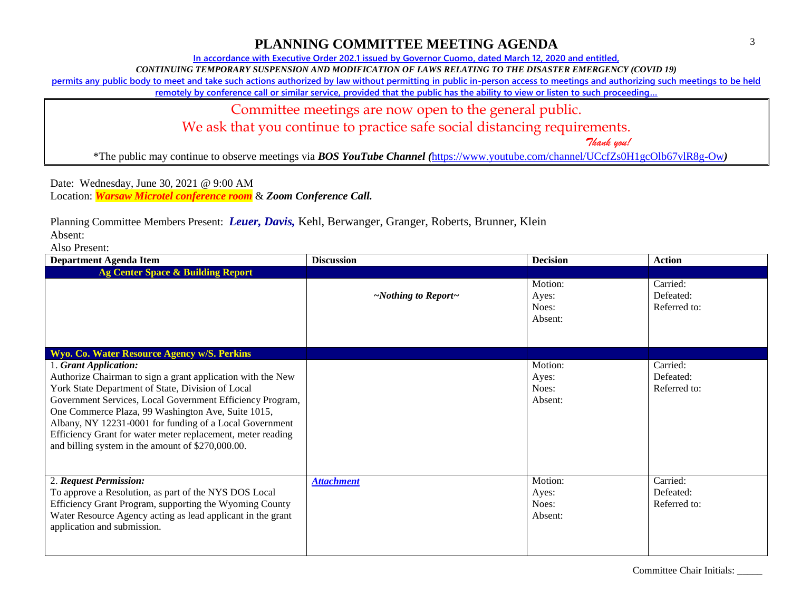**In accordance with Executive Order 202.1 issued by Governor Cuomo, dated March 12, 2020 and entitled,**

*CONTINUING TEMPORARY SUSPENSION AND MODIFICATION OF LAWS RELATING TO THE DISASTER EMERGENCY (COVID 19)*

**permits any public body to meet and take such actions authorized by law without permitting in public in-person access to meetings and authorizing such meetings to be held** 

**remotely by conference call or similar service, provided that the public has the ability to view or listen to such proceeding…**

Committee meetings are now open to the general public.

We ask that you continue to practice safe social distancing requirements.

 *Thank you!*

\*The public may continue to observe meetings via *BOS YouTube Channel (*<https://www.youtube.com/channel/UCcfZs0H1gcOlb67vlR8g-Ow>*)*

Date: Wednesday, June 30, 2021 @ 9:00 AM Location: *Warsaw Microtel conference room* & *Zoom Conference Call.*

Planning Committee Members Present: *Leuer, Davis,* Kehl, Berwanger, Granger, Roberts, Brunner, Klein

Absent:

Also Present:

| <b>Department Agenda Item</b>                                                                                                                                                                                                                                                                                                                                                                                                               | <b>Discussion</b>               | <b>Decision</b>                      | <b>Action</b>                         |
|---------------------------------------------------------------------------------------------------------------------------------------------------------------------------------------------------------------------------------------------------------------------------------------------------------------------------------------------------------------------------------------------------------------------------------------------|---------------------------------|--------------------------------------|---------------------------------------|
| <b>Ag Center Space &amp; Building Report</b>                                                                                                                                                                                                                                                                                                                                                                                                |                                 |                                      |                                       |
|                                                                                                                                                                                                                                                                                                                                                                                                                                             | $\sim$ Nothing to Report $\sim$ | Motion:<br>Ayes:<br>Noes:<br>Absent: | Carried:<br>Defeated:<br>Referred to: |
| Wyo. Co. Water Resource Agency w/S. Perkins                                                                                                                                                                                                                                                                                                                                                                                                 |                                 |                                      |                                       |
| 1. Grant Application:<br>Authorize Chairman to sign a grant application with the New<br>York State Department of State, Division of Local<br>Government Services, Local Government Efficiency Program,<br>One Commerce Plaza, 99 Washington Ave, Suite 1015,<br>Albany, NY 12231-0001 for funding of a Local Government<br>Efficiency Grant for water meter replacement, meter reading<br>and billing system in the amount of \$270,000.00. |                                 | Motion:<br>Ayes:<br>Noes:<br>Absent: | Carried:<br>Defeated:<br>Referred to: |
| 2. Request Permission:<br>To approve a Resolution, as part of the NYS DOS Local<br>Efficiency Grant Program, supporting the Wyoming County<br>Water Resource Agency acting as lead applicant in the grant<br>application and submission.                                                                                                                                                                                                    | <b>Attachment</b>               | Motion:<br>Ayes:<br>Noes:<br>Absent: | Carried:<br>Defeated:<br>Referred to: |

Committee Chair Initials: \_\_\_\_\_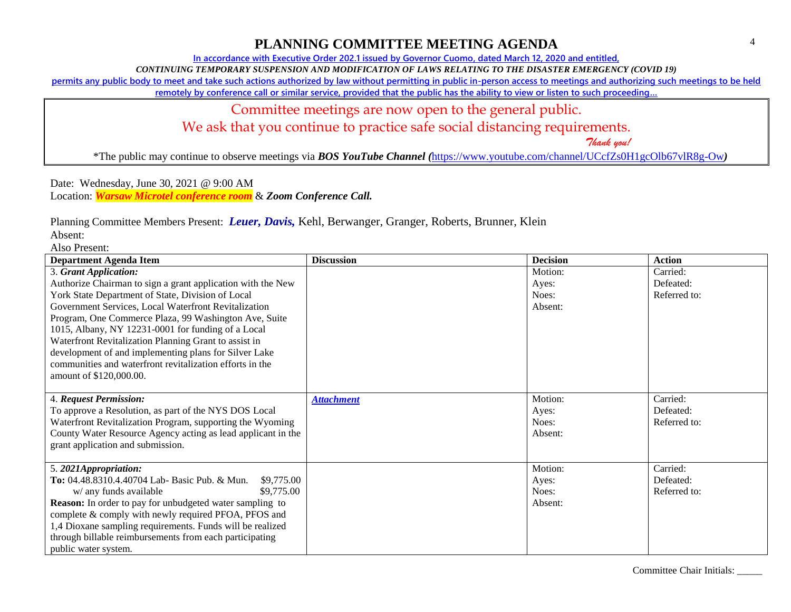### Committee Chair Initials: \_\_\_\_\_

# **PLANNING COMMITTEE MEETING AGENDA**

**In accordance with Executive Order 202.1 issued by Governor Cuomo, dated March 12, 2020 and entitled,**

*CONTINUING TEMPORARY SUSPENSION AND MODIFICATION OF LAWS RELATING TO THE DISASTER EMERGENCY (COVID 19)*

**permits any public body to meet and take such actions authorized by law without permitting in public in-person access to meetings and authorizing such meetings to be held** 

**remotely by conference call or similar service, provided that the public has the ability to view or listen to such proceeding…**

# Committee meetings are now open to the general public.

We ask that you continue to practice safe social distancing requirements.

 *Thank you!*

\*The public may continue to observe meetings via *BOS YouTube Channel (*<https://www.youtube.com/channel/UCcfZs0H1gcOlb67vlR8g-Ow>*)*

Date: Wednesday, June 30, 2021 @ 9:00 AM Location: *Warsaw Microtel conference room* & *Zoom Conference Call.*

Planning Committee Members Present: *Leuer, Davis,* Kehl, Berwanger, Granger, Roberts, Brunner, Klein

Absent:

Also Present:

| <b>Department Agenda Item</b>                                                                                             | <b>Discussion</b> | <b>Decision</b>  | <b>Action</b>             |
|---------------------------------------------------------------------------------------------------------------------------|-------------------|------------------|---------------------------|
| 3. Grant Application:<br>Authorize Chairman to sign a grant application with the New                                      |                   | Motion:<br>Ayes: | Carried:<br>Defeated:     |
| York State Department of State, Division of Local                                                                         |                   | Noes:            | Referred to:              |
| Government Services, Local Waterfront Revitalization                                                                      |                   | Absent:          |                           |
| Program, One Commerce Plaza, 99 Washington Ave, Suite<br>1015, Albany, NY 12231-0001 for funding of a Local               |                   |                  |                           |
| Waterfront Revitalization Planning Grant to assist in                                                                     |                   |                  |                           |
| development of and implementing plans for Silver Lake                                                                     |                   |                  |                           |
| communities and waterfront revitalization efforts in the<br>amount of \$120,000.00.                                       |                   |                  |                           |
|                                                                                                                           |                   |                  |                           |
| 4. Request Permission:                                                                                                    | <b>Attachment</b> | Motion:          | Carried:                  |
| To approve a Resolution, as part of the NYS DOS Local                                                                     |                   | Ayes:            | Defeated:<br>Referred to: |
| Waterfront Revitalization Program, supporting the Wyoming<br>County Water Resource Agency acting as lead applicant in the |                   | Noes:<br>Absent: |                           |
| grant application and submission.                                                                                         |                   |                  |                           |
|                                                                                                                           |                   |                  |                           |
| 5.2021Appropriation:                                                                                                      |                   | Motion:          | Carried:                  |
| To: 04.48.8310.4.40704 Lab- Basic Pub. & Mun.<br>\$9,775.00<br>\$9,775.00<br>w/ any funds available                       |                   | Ayes:<br>Noes:   | Defeated:<br>Referred to: |
| <b>Reason:</b> In order to pay for unbudgeted water sampling to                                                           |                   | Absent:          |                           |
| complete & comply with newly required PFOA, PFOS and                                                                      |                   |                  |                           |
| 1,4 Dioxane sampling requirements. Funds will be realized                                                                 |                   |                  |                           |
| through billable reimbursements from each participating                                                                   |                   |                  |                           |
| public water system.                                                                                                      |                   |                  |                           |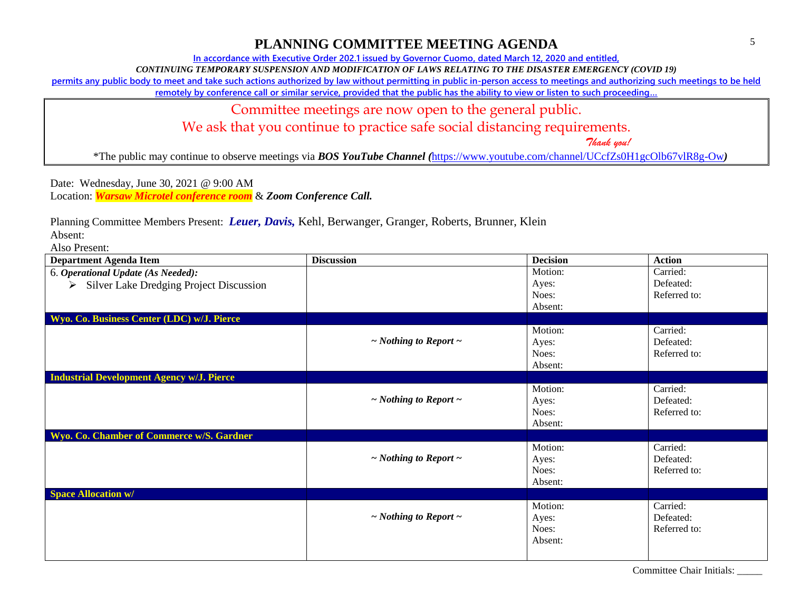**In accordance with Executive Order 202.1 issued by Governor Cuomo, dated March 12, 2020 and entitled,**

*CONTINUING TEMPORARY SUSPENSION AND MODIFICATION OF LAWS RELATING TO THE DISASTER EMERGENCY (COVID 19)*

**permits any public body to meet and take such actions authorized by law without permitting in public in-person access to meetings and authorizing such meetings to be held** 

**remotely by conference call or similar service, provided that the public has the ability to view or listen to such proceeding…**

Committee meetings are now open to the general public.

We ask that you continue to practice safe social distancing requirements.

 *Thank you!*

\*The public may continue to observe meetings via *BOS YouTube Channel (*<https://www.youtube.com/channel/UCcfZs0H1gcOlb67vlR8g-Ow>*)*

Date: Wednesday, June 30, 2021 @ 9:00 AM Location: *Warsaw Microtel conference room* & *Zoom Conference Call.*

Planning Committee Members Present: *Leuer, Davis,* Kehl, Berwanger, Granger, Roberts, Brunner, Klein

Absent:

Also Present:

| <b>Department Agenda Item</b>                            | <b>Discussion</b>               | <b>Decision</b> | <b>Action</b> |
|----------------------------------------------------------|---------------------------------|-----------------|---------------|
| 6. Operational Update (As Needed):                       |                                 | Motion:         | Carried:      |
| $\triangleright$ Silver Lake Dredging Project Discussion |                                 | Ayes:           | Defeated:     |
|                                                          |                                 | Noes:           | Referred to:  |
|                                                          |                                 | Absent:         |               |
| Wyo. Co. Business Center (LDC) w/J. Pierce               |                                 |                 |               |
|                                                          |                                 | Motion:         | Carried:      |
|                                                          | $\sim$ Nothing to Report $\sim$ | Ayes:           | Defeated:     |
|                                                          |                                 | Noes:           | Referred to:  |
|                                                          |                                 | Absent:         |               |
| <b>Industrial Development Agency w/J. Pierce</b>         |                                 |                 |               |
|                                                          |                                 | Motion:         | Carried:      |
|                                                          | $\sim$ Nothing to Report $\sim$ | Ayes:           | Defeated:     |
|                                                          |                                 | Noes:           | Referred to:  |
|                                                          |                                 | Absent:         |               |
| Wyo. Co. Chamber of Commerce w/S. Gardner                |                                 |                 |               |
|                                                          |                                 | Motion:         | Carried:      |
|                                                          | $\sim$ Nothing to Report $\sim$ | Ayes:           | Defeated:     |
|                                                          |                                 | Noes:           | Referred to:  |
|                                                          |                                 | Absent:         |               |
| <b>Space Allocation w/</b>                               |                                 |                 |               |
|                                                          |                                 | Motion:         | Carried:      |
|                                                          | $\sim$ Nothing to Report $\sim$ | Ayes:           | Defeated:     |
|                                                          |                                 | Noes:           | Referred to:  |
|                                                          |                                 | Absent:         |               |
|                                                          |                                 |                 |               |
|                                                          |                                 |                 |               |